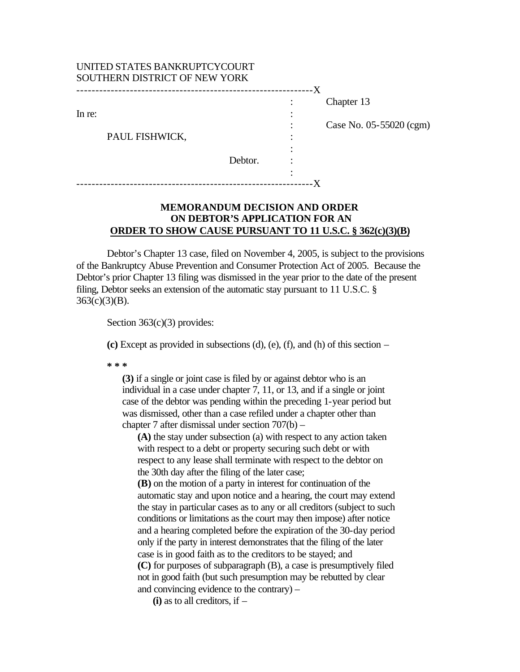| UNITED STATES BANKRUPTCYCOURT<br>SOUTHERN DISTRICT OF NEW YORK |         | - X |                                       |
|----------------------------------------------------------------|---------|-----|---------------------------------------|
| In re:<br>PAUL FISHWICK,                                       | Debtor. |     | Chapter 13<br>Case No. 05-55020 (cgm) |

## **MEMORANDUM DECISION AND ORDER ON DEBTOR'S APPLICATION FOR AN ORDER TO SHOW CAUSE PURSUANT TO 11 U.S.C. § 362(c)(3)(B)**

Debtor's Chapter 13 case, filed on November 4, 2005, is subject to the provisions of the Bankruptcy Abuse Prevention and Consumer Protection Act of 2005. Because the Debtor's prior Chapter 13 filing was dismissed in the year prior to the date of the present filing, Debtor seeks an extension of the automatic stay pursuant to 11 U.S.C. §  $363(c)(3)(B)$ .

Section 363(c)(3) provides:

**(c)** Except as provided in subsections (d), (e), (f), and (h) of this section –

**\* \* \***

**(3)** if a single or joint case is filed by or against debtor who is an individual in a case under chapter 7, 11, or 13, and if a single or joint case of the debtor was pending within the preceding 1-year period but was dismissed, other than a case refiled under a chapter other than chapter 7 after dismissal under section 707(b) –

**(A)** the stay under subsection (a) with respect to any action taken with respect to a debt or property securing such debt or with respect to any lease shall terminate with respect to the debtor on the 30th day after the filing of the later case;

**(B)** on the motion of a party in interest for continuation of the automatic stay and upon notice and a hearing, the court may extend the stay in particular cases as to any or all creditors (subject to such conditions or limitations as the court may then impose) after notice and a hearing completed before the expiration of the 30-day period only if the party in interest demonstrates that the filing of the later case is in good faith as to the creditors to be stayed; and **(C)** for purposes of subparagraph (B), a case is presumptively filed not in good faith (but such presumption may be rebutted by clear and convincing evidence to the contrary) –

**(i)** as to all creditors, if –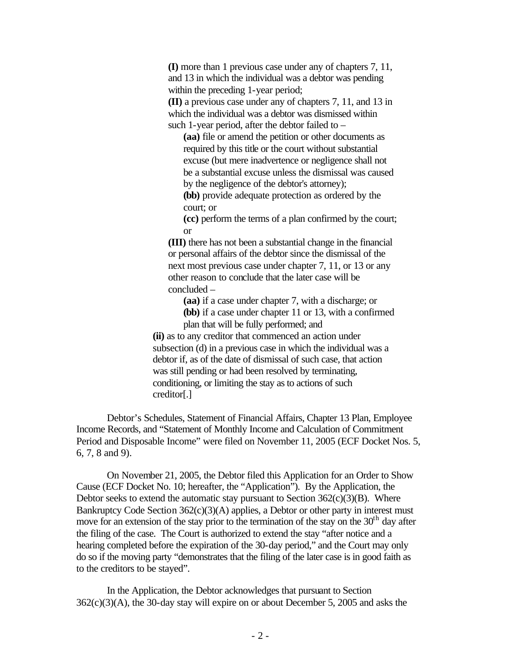**(I)** more than 1 previous case under any of chapters 7, 11, and 13 in which the individual was a debtor was pending within the preceding 1-year period; **(II)** a previous case under any of chapters 7, 11, and 13 in

which the individual was a debtor was dismissed within such 1-year period, after the debtor failed to –

**(aa)** file or amend the petition or other documents as required by this title or the court without substantial excuse (but mere inadvertence or negligence shall not be a substantial excuse unless the dismissal was caused by the negligence of the debtor's attorney);

**(bb)** provide adequate protection as ordered by the court; or

**(cc)** perform the terms of a plan confirmed by the court; or

**(III)** there has not been a substantial change in the financial or personal affairs of the debtor since the dismissal of the next most previous case under chapter 7, 11, or 13 or any other reason to conclude that the later case will be concluded –

**(aa)** if a case under chapter 7, with a discharge; or

**(bb)** if a case under chapter 11 or 13, with a confirmed plan that will be fully performed; and

**(ii)** as to any creditor that commenced an action under subsection (d) in a previous case in which the individual was a debtor if, as of the date of dismissal of such case, that action was still pending or had been resolved by terminating, conditioning, or limiting the stay as to actions of such creditor[.]

Debtor's Schedules, Statement of Financial Affairs, Chapter 13 Plan, Employee Income Records, and "Statement of Monthly Income and Calculation of Commitment Period and Disposable Income" were filed on November 11, 2005 (ECF Docket Nos. 5, 6, 7, 8 and 9).

On November 21, 2005, the Debtor filed this Application for an Order to Show Cause (ECF Docket No. 10; hereafter, the "Application"). By the Application, the Debtor seeks to extend the automatic stay pursuant to Section  $362(c)(3)(B)$ . Where Bankruptcy Code Section 362(c)(3)(A) applies, a Debtor or other party in interest must move for an extension of the stay prior to the termination of the stay on the  $30<sup>th</sup>$  day after the filing of the case. The Court is authorized to extend the stay "after notice and a hearing completed before the expiration of the 30-day period," and the Court may only do so if the moving party "demonstrates that the filing of the later case is in good faith as to the creditors to be stayed".

In the Application, the Debtor acknowledges that pursuant to Section 362(c)(3)(A), the 30-day stay will expire on or about December 5, 2005 and asks the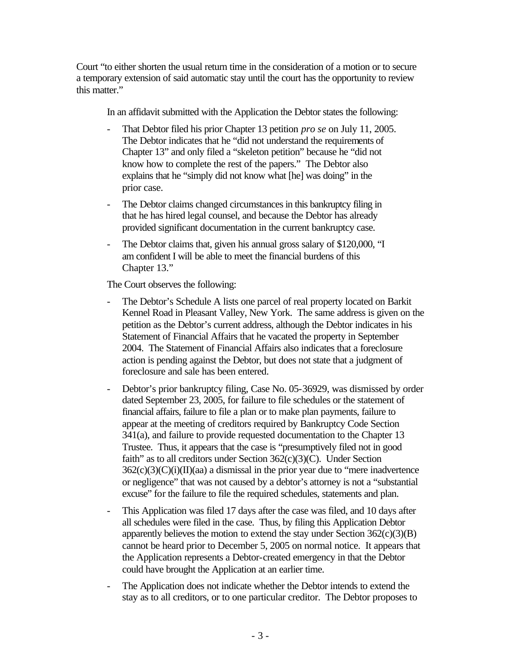Court "to either shorten the usual return time in the consideration of a motion or to secure a temporary extension of said automatic stay until the court has the opportunity to review this matter."

In an affidavit submitted with the Application the Debtor states the following:

- That Debtor filed his prior Chapter 13 petition *pro se* on July 11, 2005. The Debtor indicates that he "did not understand the requirements of Chapter 13" and only filed a "skeleton petition" because he "did not know how to complete the rest of the papers." The Debtor also explains that he "simply did not know what [he] was doing" in the prior case.
- The Debtor claims changed circumstances in this bankruptcy filing in that he has hired legal counsel, and because the Debtor has already provided significant documentation in the current bankruptcy case.
- The Debtor claims that, given his annual gross salary of \$120,000, "I am confident I will be able to meet the financial burdens of this Chapter 13."

The Court observes the following:

- The Debtor's Schedule A lists one parcel of real property located on Barkit Kennel Road in Pleasant Valley, New York. The same address is given on the petition as the Debtor's current address, although the Debtor indicates in his Statement of Financial Affairs that he vacated the property in September 2004. The Statement of Financial Affairs also indicates that a foreclosure action is pending against the Debtor, but does not state that a judgment of foreclosure and sale has been entered.
- Debtor's prior bankruptcy filing, Case No. 05-36929, was dismissed by order dated September 23, 2005, for failure to file schedules or the statement of financial affairs, failure to file a plan or to make plan payments, failure to appear at the meeting of creditors required by Bankruptcy Code Section 341(a), and failure to provide requested documentation to the Chapter 13 Trustee. Thus, it appears that the case is "presumptively filed not in good faith" as to all creditors under Section 362(c)(3)(C). Under Section  $362(c)(3)(C)(i)(II)(aa)$  a dismissal in the prior year due to "mere inadvertence" or negligence" that was not caused by a debtor's attorney is not a "substantial excuse" for the failure to file the required schedules, statements and plan.
- This Application was filed 17 days after the case was filed, and 10 days after all schedules were filed in the case. Thus, by filing this Application Debtor apparently believes the motion to extend the stay under Section  $362(c)(3)(B)$ cannot be heard prior to December 5, 2005 on normal notice. It appears that the Application represents a Debtor-created emergency in that the Debtor could have brought the Application at an earlier time.
- The Application does not indicate whether the Debtor intends to extend the stay as to all creditors, or to one particular creditor. The Debtor proposes to